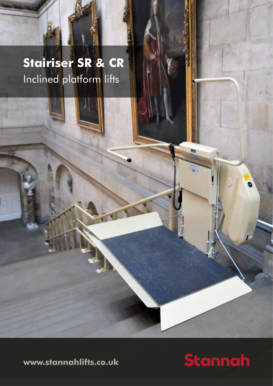# **Stairiser SR & CR** Inclined platform lifts

**www.stannahlifts.co.uk**

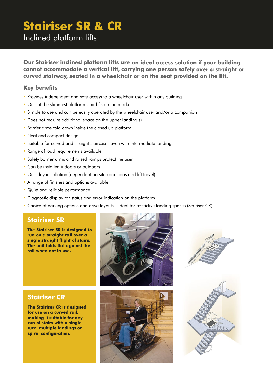## **Stairiser SR & CR**

Inclined platform lifts

**Our Stairiser inclined platform lifts are an ideal access solution if your building cannot accommodate a vertical lift, carrying one person safely over a straight or curved stairway, seated in a wheelchair or on the seat provided on the lift.** 

#### **Key benefits**

- Provides independent and safe access to a wheelchair user within any building
- One of the slimmest platform stair lifts on the market
- Simple to use and can be easily operated by the wheelchair user and/or a companion
- Does not require additional space on the upper landing(s)
- Barrier arms fold down inside the closed up platform
- Neat and compact design
- Suitable for curved and straight staircases even with intermediate landings
- Range of load requirements available
- Safety barrier arms and raised ramps protect the user
- Can be installed indoors or outdoors
- One day installation (dependant on site conditions and lift travel)
- A range of finishes and options available
- Quiet and reliable performance
- Diagnostic display for status and error indication on the platform
- Choice of parking options and drive layouts ideal for restrictive landing spaces (Stairiser CR)

#### **Stairiser SR**

**The Stairiser SR is designed to run on a straight rail over a single straight flight of stairs. The unit folds flat against the rail when not in use.**





### **Stairiser CR**

**The Stairiser CR is designed for use on a curved rail, making it suitable for any run of stairs with a single turn, multiple landings or spiral configuration.** 



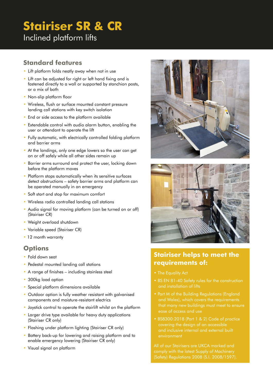# **Stairiser SR & CR**

Inclined platform lifts

#### **Standard features**

- Lift platform folds neatly away when not in use
- Lift can be adjusted for right or left hand fixing and is fastened directly to a wall or supported by stanchion posts, or a mix of both
- Non-slip platform floor
- Wireless, flush or surface mounted constant pressure landing call stations with key switch isolation
- End or side access to the platform available
- Extendable control with audio alarm button, enabling the user or attendant to operate the lift
- Fully automatic, with electrically controlled folding platform and barrier arms
- At the landings, only one edge lowers so the user can get on or off safely while all other sides remain up
- Barrier arms surround and protect the user, locking down before the platform moves
- Platform stops automatically when its sensitive surfaces detect obstructions – safety barrier arms and platform can be operated manually in an emergency
- Soft start and stop for maximum comfort
- Wireless radio controlled landing call stations
- Audio signal for moving platform (can be turned on or off) (Stairiser CR)
- Weight overload shutdown
- Variable speed (Stairiser CR)
- 12 month warranty

#### **Options**

- Fold down seat
- Pedestal mounted landing call stations
- A range of finishes including stainless steel
- 300kg load option
- Special platform dimensions available
- Outdoor option is fully weather resistant with galvanised components and moisture-resistant electrics
- Joystick control to operate the stairlift whilst on the platform
- Larger drive type available for heavy duty applications (Stairiser CR only)
- Flashing under platform lighting (Stairiser CR only)
- Battery back-up for lowering and raising platform and to enable emergency lowering (Stairiser CR only)
- Visual signal on platform





### **Stairiser helps to meet the requirements of:**

- 
- BS EN 81-40 Safety rules for the construction and installation of lifts
- Part M of the Building Regulations (England and Wales), which covers the requirements ease of access and use
- BS8300:2018 (Part 1 & 2) Code of practice covering the design of an accessible and inclusive internal and external built environment

All of our Stairisers are UKCA marked and comply with the latest Supply of Machinery (Safety) Regulations 2008 (S.I. 2008/1597).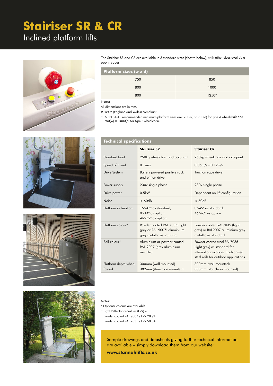# **Stairiser SR & CR**

### Inclined platform lifts



The Stairiser SR and CR are available in 3 standard sizes (shown below), with other sizes available upon request.

| <b>Platform sizes (w x d)</b> |         |  |
|-------------------------------|---------|--|
| 750                           | 850     |  |
| 800                           | 1000    |  |
| 800                           | $1250*$ |  |

Notes:

All dimensions are in mm.

#Part M (England and Wales) compliant.

† BS EN 81-40 recommended minimum platform sizes are: 700(w) × 900(d) for type A wheelchair and  $750(w) \times 1000(d)$  for type B wheelchair.







## **Technical specifications**

|                               | <b>Stairiser SR</b>                                                                                               | <b>Stairiser CR</b>                                                                                                                      |
|-------------------------------|-------------------------------------------------------------------------------------------------------------------|------------------------------------------------------------------------------------------------------------------------------------------|
| Standard load                 | 250kg wheelchair and occupant                                                                                     | 250kg wheelchair and occupant                                                                                                            |
| Speed of travel               | 0.1 <sub>m/s</sub>                                                                                                | $0.06m/s - 0.12m/s$                                                                                                                      |
| <b>Drive System</b>           | Battery powered positive rack<br>and pinion drive                                                                 | Traction rope drive                                                                                                                      |
| Power supply                  | 230v single phase                                                                                                 | 230v single phase                                                                                                                        |
| Drive power                   | 0.5kW                                                                                                             | Dependent on lift configuration                                                                                                          |
| Noise                         | < 60dB                                                                                                            | < 60dB                                                                                                                                   |
| Platform inclination          | $15^{\circ}$ -45 $^{\circ}$ as standard,<br>$0^\circ$ -14 $^\circ$ as option<br>46°-52° as option                 | $0^{\circ}$ -45 $^{\circ}$ as standard,<br>$46^{\circ}$ -67 $^{\circ}$ as option                                                         |
| Platform colour*              | Powder coated RAL 7035 <sup>+</sup> light<br>grey or RAL 9007 <sup>+</sup> aluminium<br>grey metallic as standard | Powder coated RAL7035 (light<br>grey) or RAL9007 aluminium grey<br>metallic as standard                                                  |
| Rail colour*                  | Aluminium or powder coated<br>RAL 9007 (grey aluminium<br>metallic)                                               | Powder coated steel RAL7035<br>(light grey) as standard for<br>internal applications. Galvanised<br>steel rails for outdoor applications |
| Platform depth when<br>folded | 300mm (wall mounted)<br>382mm (stanchion mounted)                                                                 | 300mm (wall mounted)<br>388mm (stanchion mounted)                                                                                        |

#### Notes:

\* Optional colours are available.

† Light Reflectance Values (LRV) –

Powder coated RAL 9007 / LRV 28,94

Powder coated RAL 7035 / LRV 58,34

Sample drawings and datasheets giving further technical information are available – simply download them from our website:

**www.stannahlifts.co.uk**